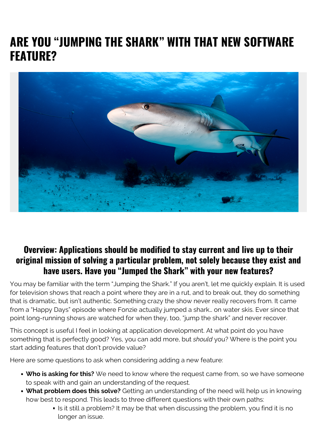## **ARE YOU "JUMPING THE SHARK" WITH THAT NEW SOFTWARE FEATURE?**



## **Overview: Applications should be modified to stay current and live up to their original mission of solving a particular problem, not solely because they exist and have users. Have you "Jumped the Shark" with your new features?**

You may be familiar with the term "Jumping the Shark." If you aren't, let me quickly explain. It is used for television shows that reach a point where they are in a rut, and to break out, they do something that is dramatic, but isn't authentic. Something crazy the show never really recovers from. It came from a "Happy Days" episode where Fonzie actually jumped a shark… on water skis. Ever since that point long-running shows are watched for when they, too, "jump the shark" and never recover.

This concept is useful I feel in looking at application development. At what point do you have something that is perfectly good? Yes, you can add more, but *should* you? Where is the point you start adding features that don't provide value?

Here are some questions to ask when considering adding a new feature:

- **Who is asking for this?** We need to know where the request came from, so we have someone to speak with and gain an understanding of the request.
- **What problem does this solve?** Getting an understanding of the need will help us in knowing how best to respond. This leads to three different questions with their own paths:
	- If is it still a problem? It may be that when discussing the problem, you find it is no longer an issue.